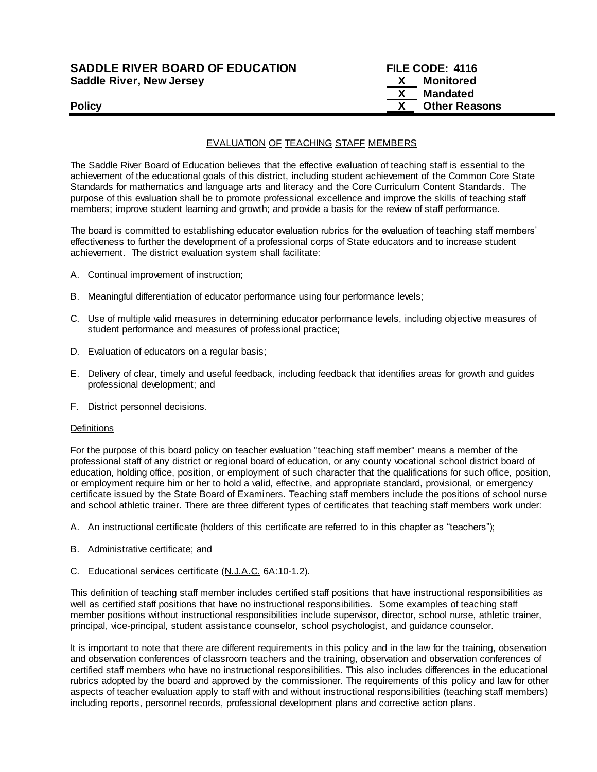| <b>SADDLE RIVER BOARD OF EDUCATION</b> | FILE CODE: 4116 |                      |
|----------------------------------------|-----------------|----------------------|
| <b>Saddle River, New Jersey</b>        | $\mathbf{x}$    | Monitored            |
|                                        | $\mathbf{X}$    | Mandated             |
| <b>Policy</b>                          |                 | <b>Other Reasons</b> |

#### EVALUATION OF TEACHING STAFF MEMBERS

The Saddle River Board of Education believes that the effective evaluation of teaching staff is essential to the achievement of the educational goals of this district, including student achievement of the Common Core State Standards for mathematics and language arts and literacy and the Core Curriculum Content Standards.The purpose of this evaluation shall be to promote professional excellence and improve the skills of teaching staff members; improve student learning and growth; and provide a basis for the review of staff performance.

The board is committed to establishing educator evaluation rubrics for the evaluation of teaching staff members' effectiveness to further the development of a professional corps of State educators and to increase student achievement. The district evaluation system shall facilitate:

- A. Continual improvement of instruction;
- B. Meaningful differentiation of educator performance using four performance levels;
- C. Use of multiple valid measures in determining educator performance levels, including objective measures of student performance and measures of professional practice;
- D. Evaluation of educators on a regular basis;
- E. Delivery of clear, timely and useful feedback, including feedback that identifies areas for growth and guides professional development; and
- F. District personnel decisions.

#### **Definitions**

For the purpose of this board policy on teacher evaluation "teaching staff member" means a member of the professional staff of any district or regional board of education, or any county vocational school district board of education, holding office, position, or employment of such character that the qualifications for such office, position, or employment require him or her to hold a valid, effective, and appropriate standard, provisional, or emergency certificate issued by the State Board of Examiners. Teaching staff members include the positions of school nurse and school athletic trainer. There are three different types of certificates that teaching staff members work under:

- A. An instructional certificate (holders of this certificate are referred to in this chapter as "teachers");
- B. Administrative certificate; and
- C. Educational services certificate (N.J.A.C. 6A:10-1.2).

This definition of teaching staff member includes certified staff positions that have instructional responsibilities as well as certified staff positions that have no instructional responsibilities. Some examples of teaching staff member positions without instructional responsibilities include supervisor, director, school nurse, athletic trainer, principal, vice-principal, student assistance counselor, school psychologist, and guidance counselor.

It is important to note that there are different requirements in this policy and in the law for the training, observation and observation conferences of classroom teachers and the training, observation and observation conferences of certified staff members who have no instructional responsibilities. This also includes differences in the educational rubrics adopted by the board and approved by the commissioner. The requirements of this policy and law for other aspects of teacher evaluation apply to staff with and without instructional responsibilities (teaching staff members) including reports, personnel records, professional development plans and corrective action plans.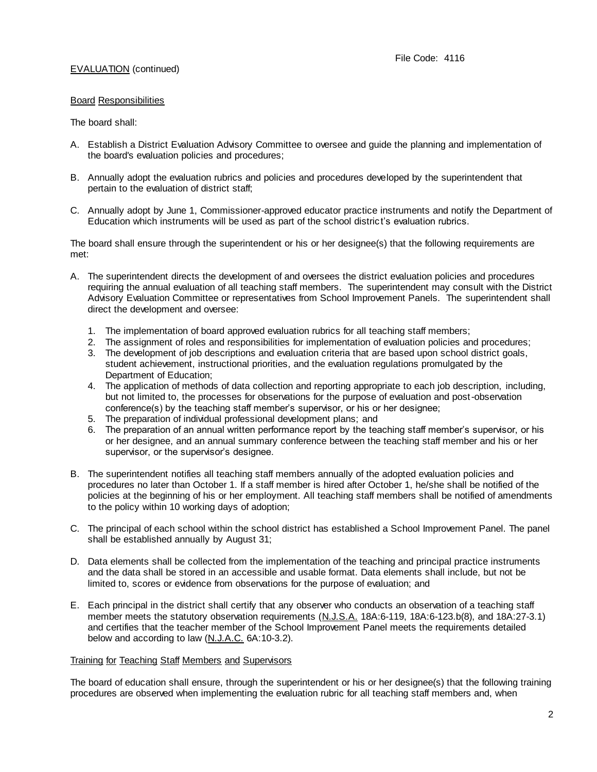#### Board Responsibilities

#### The board shall:

- A. Establish a District Evaluation Advisory Committee to oversee and guide the planning and implementation of the board's evaluation policies and procedures;
- B. Annually adopt the evaluation rubrics and policies and procedures developed by the superintendent that pertain to the evaluation of district staff;
- C. Annually adopt by June 1, Commissioner-approved educator practice instruments and notify the Department of Education which instruments will be used as part of the school district's evaluation rubrics.

The board shall ensure through the superintendent or his or her designee(s) that the following requirements are met:

- A. The superintendent directs the development of and oversees the district evaluation policies and procedures requiring the annual evaluation of all teaching staff members. The superintendent may consult with the District Advisory Evaluation Committee or representatives from School Improvement Panels. The superintendent shall direct the development and oversee:
	- 1. The implementation of board approved evaluation rubrics for all teaching staff members;
	- 2. The assignment of roles and responsibilities for implementation of evaluation policies and procedures;
	- 3. The development of job descriptions and evaluation criteria that are based upon school district goals, student achievement, instructional priorities, and the evaluation regulations promulgated by the Department of Education;
	- 4. The application of methods of data collection and reporting appropriate to each job description, including, but not limited to, the processes for observations for the purpose of evaluation and post-observation conference(s) by the teaching staff member's supervisor, or his or her designee;
	- 5. The preparation of individual professional development plans; and
	- 6. The preparation of an annual written performance report by the teaching staff member's supervisor, or his or her designee, and an annual summary conference between the teaching staff member and his or her supervisor, or the supervisor's designee.
- B. The superintendent notifies all teaching staff members annually of the adopted evaluation policies and procedures no later than October 1. If a staff member is hired after October 1, he/she shall be notified of the policies at the beginning of his or her employment. All teaching staff members shall be notified of amendments to the policy within 10 working days of adoption;
- C. The principal of each school within the school district has established a School Improvement Panel. The panel shall be established annually by August 31;
- D. Data elements shall be collected from the implementation of the teaching and principal practice instruments and the data shall be stored in an accessible and usable format. Data elements shall include, but not be limited to, scores or evidence from observations for the purpose of evaluation; and
- E. Each principal in the district shall certify that any observer who conducts an observation of a teaching staff member meets the statutory observation requirements (N.J.S.A. 18A:6-119, 18A:6-123.b(8), and 18A:27-3.1) and certifies that the teacher member of the School Improvement Panel meets the requirements detailed below and according to law (N.J.A.C. 6A:10-3.2).

#### Training for Teaching Staff Members and Supervisors

The board of education shall ensure, through the superintendent or his or her designee(s) that the following training procedures are observed when implementing the evaluation rubric for all teaching staff members and, when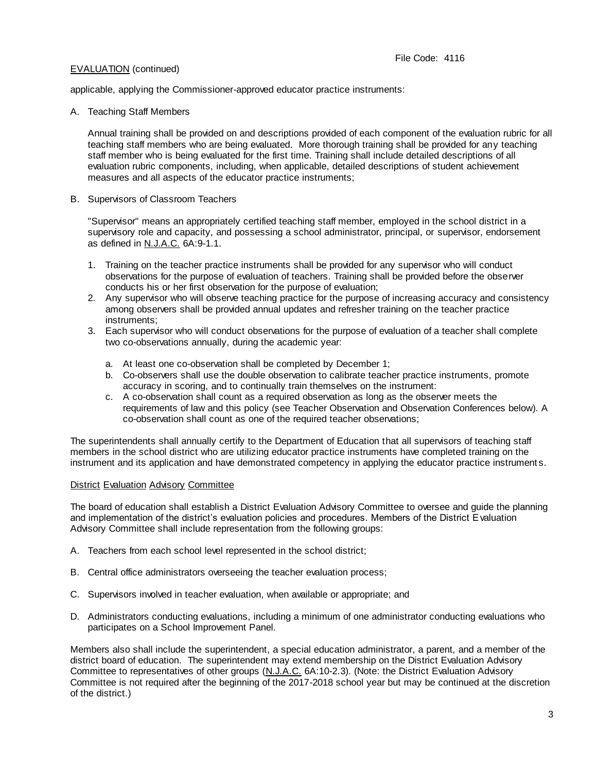applicable, applying the Commissioner-approved educator practice instruments:

### A. Teaching Staff Members

Annual training shall be provided on and descriptions provided of each component of the evaluation rubric for all teaching staff members who are being evaluated. More thorough training shall be provided for any teaching staff member who is being evaluated for the first time. Training shall include detailed descriptions of all evaluation rubric components, including, when applicable, detailed descriptions of student achievement measures and all aspects of the educator practice instruments;

B. Supervisors of Classroom Teachers

"Supervisor" means an appropriately certified teaching staff member, employed in the school district in a supervisory role and capacity, and possessing a school administrator, principal, or supervisor, endorsement as defined in N.J.A.C. 6A:9-1.1.

- 1. Training on the teacher practice instruments shall be provided for any supervisor who will conduct observations for the purpose of evaluation of teachers. Training shall be provided before the observer conducts his or her first observation for the purpose of evaluation;
- 2. Any supervisor who will observe teaching practice for the purpose of increasing accuracy and consistency among observers shall be provided annual updates and refresher training on the teacher practice instruments;
- 3. Each supervisor who will conduct observations for the purpose of evaluation of a teacher shall complete two co-observations annually, during the academic year:
	- a. At least one co-observation shall be completed by December 1;
	- b. Co-observers shall use the double observation to calibrate teacher practice instruments, promote accuracy in scoring, and to continually train themselves on the instrument:
	- c. A co-observation shall count as a required observation as long as the observer meets the requirements of law and this policy (see Teacher Observation and Observation Conferences below). A co-observation shall count as one of the required teacher observations;

The superintendents shall annually certify to the Department of Education that all supervisors of teaching staff members in the school district who are utilizing educator practice instruments have completed training on the instrument and its application and have demonstrated competency in applying the educator practice instrument s.

# **District Evaluation Advisory Committee**

The board of education shall establish a District Evaluation Advisory Committee to oversee and guide the planning and implementation of the district's evaluation policies and procedures. Members of the District Evaluation Advisory Committee shall include representation from the following groups:

- A. Teachers from each school level represented in the school district;
- B. Central office administrators overseeing the teacher evaluation process;
- C. Supervisors involved in teacher evaluation, when available or appropriate; and
- D. Administrators conducting evaluations, including a minimum of one administrator conducting evaluations who participates on a School Improvement Panel.

Members also shall include the superintendent, a special education administrator, a parent, and a member of the district board of education. The superintendent may extend membership on the District Evaluation Advisory Committee to representatives of other groups (N.J.A.C. 6A:10-2.3). (Note: the District Evaluation Advisory Committee is not required after the beginning of the 2017-2018 school year but may be continued at the discretion of the district.)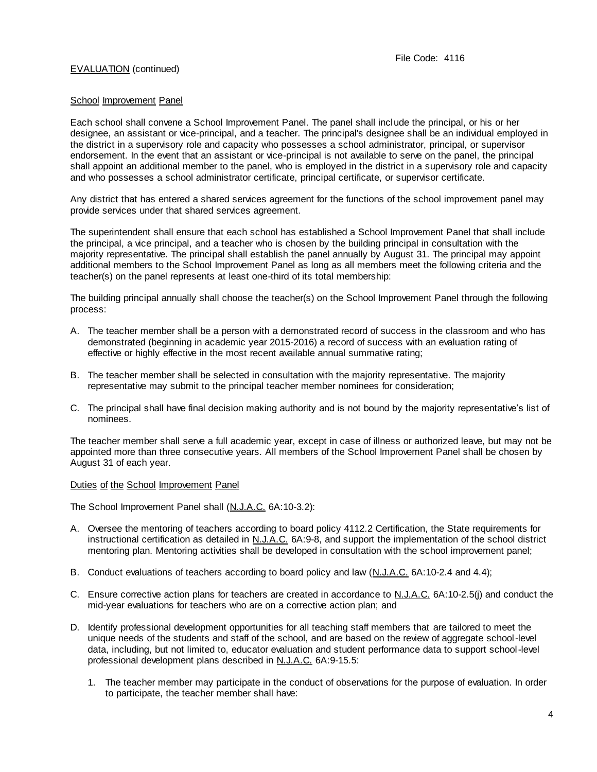#### School Improvement Panel

Each school shall convene a School Improvement Panel. The panel shall include the principal, or his or her designee, an assistant or vice-principal, and a teacher. The principal's designee shall be an individual employed in the district in a supervisory role and capacity who possesses a school administrator, principal, or supervisor endorsement. In the event that an assistant or vice-principal is not available to serve on the panel, the principal shall appoint an additional member to the panel, who is employed in the district in a supervisory role and capacity and who possesses a school administrator certificate, principal certificate, or supervisor certificate.

Any district that has entered a shared services agreement for the functions of the school improvement panel may provide services under that shared services agreement.

The superintendent shall ensure that each school has established a School Improvement Panel that shall include the principal, a vice principal, and a teacher who is chosen by the building principal in consultation with the majority representative. The principal shall establish the panel annually by August 31. The principal may appoint additional members to the School Improvement Panel as long as all members meet the following criteria and the teacher(s) on the panel represents at least one-third of its total membership:

The building principal annually shall choose the teacher(s) on the School Improvement Panel through the following process:

- A. The teacher member shall be a person with a demonstrated record of success in the classroom and who has demonstrated (beginning in academic year 2015-2016) a record of success with an evaluation rating of effective or highly effective in the most recent available annual summative rating;
- B. The teacher member shall be selected in consultation with the majority representative. The majority representative may submit to the principal teacher member nominees for consideration;
- C. The principal shall have final decision making authority and is not bound by the majority representative's list of nominees.

The teacher member shall serve a full academic year, except in case of illness or authorized leave, but may not be appointed more than three consecutive years. All members of the School Improvement Panel shall be chosen by August 31 of each year.

Duties of the School Improvement Panel

The School Improvement Panel shall (N.J.A.C. 6A:10-3.2):

- A. Oversee the mentoring of teachers according to board policy 4112.2 Certification, the State requirements for instructional certification as detailed in N.J.A.C. 6A:9-8, and support the implementation of the school district mentoring plan. Mentoring activities shall be developed in consultation with the school improvement panel;
- B. Conduct evaluations of teachers according to board policy and law (N.J.A.C. 6A:10-2.4 and 4.4);
- C. Ensure corrective action plans for teachers are created in accordance to N.J.A.C. 6A:10-2.5(j) and conduct the mid-year evaluations for teachers who are on a corrective action plan; and
- D. Identify professional development opportunities for all teaching staff members that are tailored to meet the unique needs of the students and staff of the school, and are based on the review of aggregate school-level data, including, but not limited to, educator evaluation and student performance data to support school-level professional development plans described in N.J.A.C. 6A:9-15.5:
	- 1. The teacher member may participate in the conduct of observations for the purpose of evaluation. In order to participate, the teacher member shall have: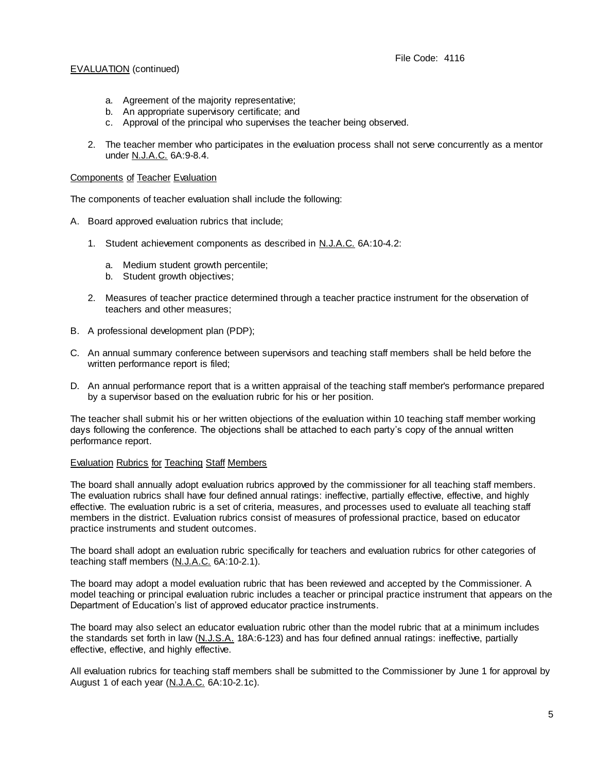- a. Agreement of the majority representative;
- b. An appropriate supervisory certificate; and
- c. Approval of the principal who supervises the teacher being observed.
- 2. The teacher member who participates in the evaluation process shall not serve concurrently as a mentor under N.J.A.C. 6A:9-8.4.

#### Components of Teacher Evaluation

The components of teacher evaluation shall include the following:

- A. Board approved evaluation rubrics that include;
	- 1. Student achievement components as described in N.J.A.C. 6A:10-4.2:
		- a. Medium student growth percentile:
		- b. Student growth objectives;
	- 2. Measures of teacher practice determined through a teacher practice instrument for the observation of teachers and other measures;
- B. A professional development plan (PDP);
- C. An annual summary conference between supervisors and teaching staff members shall be held before the written performance report is filed;
- D. An annual performance report that is a written appraisal of the teaching staff member's performance prepared by a supervisor based on the evaluation rubric for his or her position.

The teacher shall submit his or her written objections of the evaluation within 10 teaching staff member working days following the conference. The objections shall be attached to each party's copy of the annual written performance report.

### Evaluation Rubrics for Teaching Staff Members

The board shall annually adopt evaluation rubrics approved by the commissioner for all teaching staff members. The evaluation rubrics shall have four defined annual ratings: ineffective, partially effective, effective, and highly effective. The evaluation rubric is a set of criteria, measures, and processes used to evaluate all teaching staff members in the district. Evaluation rubrics consist of measures of professional practice, based on educator practice instruments and student outcomes.

The board shall adopt an evaluation rubric specifically for teachers and evaluation rubrics for other categories of teaching staff members (N.J.A.C. 6A:10-2.1).

The board may adopt a model evaluation rubric that has been reviewed and accepted by the Commissioner. A model teaching or principal evaluation rubric includes a teacher or principal practice instrument that appears on the Department of Education's list of approved educator practice instruments.

The board may also select an educator evaluation rubric other than the model rubric that at a minimum includes the standards set forth in law (N.J.S.A. 18A:6-123) and has four defined annual ratings: ineffective, partially effective, effective, and highly effective.

All evaluation rubrics for teaching staff members shall be submitted to the Commissioner by June 1 for approval by August 1 of each year (N.J.A.C. 6A:10-2.1c).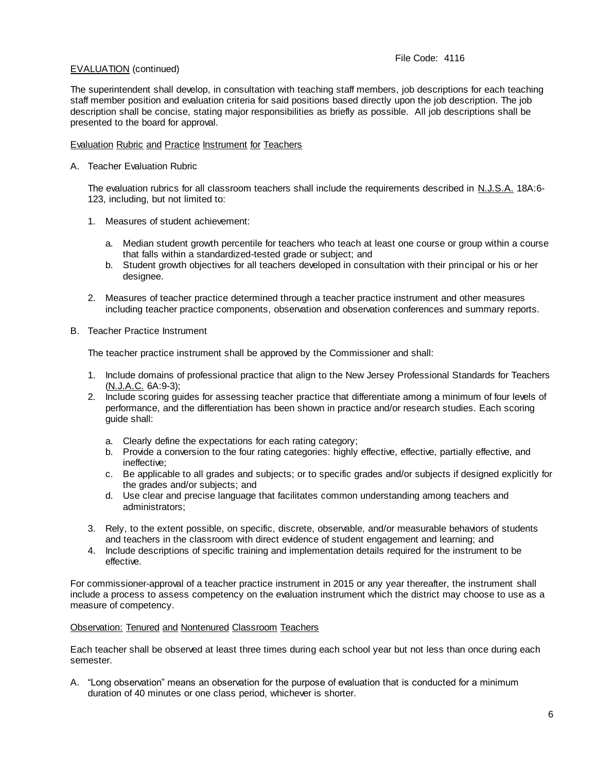The superintendent shall develop, in consultation with teaching staff members, job descriptions for each teaching staff member position and evaluation criteria for said positions based directly upon the job description. The job description shall be concise, stating major responsibilities as briefly as possible. All job descriptions shall be presented to the board for approval.

# Evaluation Rubric and Practice Instrument for Teachers

# A. Teacher Evaluation Rubric

The evaluation rubrics for all classroom teachers shall include the requirements described in N.J.S.A. 18A:6-123, including, but not limited to:

- 1. Measures of student achievement:
	- a. Median student growth percentile for teachers who teach at least one course or group within a course that falls within a standardized-tested grade or subject; and
	- b. Student growth objectives for all teachers developed in consultation with their principal or his or her designee.
- 2. Measures of teacher practice determined through a teacher practice instrument and other measures including teacher practice components, observation and observation conferences and summary reports.
- B. Teacher Practice Instrument

The teacher practice instrument shall be approved by the Commissioner and shall:

- 1. Include domains of professional practice that align to the New Jersey Professional Standards for Teachers (N.J.A.C. 6A:9-3);
- 2. Include scoring guides for assessing teacher practice that differentiate among a minimum of four levels of performance, and the differentiation has been shown in practice and/or research studies. Each scoring guide shall:
	- a. Clearly define the expectations for each rating category;
	- b. Provide a conversion to the four rating categories: highly effective, effective, partially effective, and ineffective;
	- c. Be applicable to all grades and subjects; or to specific grades and/or subjects if designed explicitly for the grades and/or subjects; and
	- d. Use clear and precise language that facilitates common understanding among teachers and administrators;
- 3. Rely, to the extent possible, on specific, discrete, observable, and/or measurable behaviors of students and teachers in the classroom with direct evidence of student engagement and learning; and
- 4. Include descriptions of specific training and implementation details required for the instrument to be effective.

For commissioner-approval of a teacher practice instrument in 2015 or any year thereafter, the instrument shall include a process to assess competency on the evaluation instrument which the district may choose to use as a measure of competency.

# Observation: Tenured and Nontenured Classroom Teachers

Each teacher shall be observed at least three times during each school year but not less than once during each semester.

A. "Long observation" means an observation for the purpose of evaluation that is conducted for a minimum duration of 40 minutes or one class period, whichever is shorter.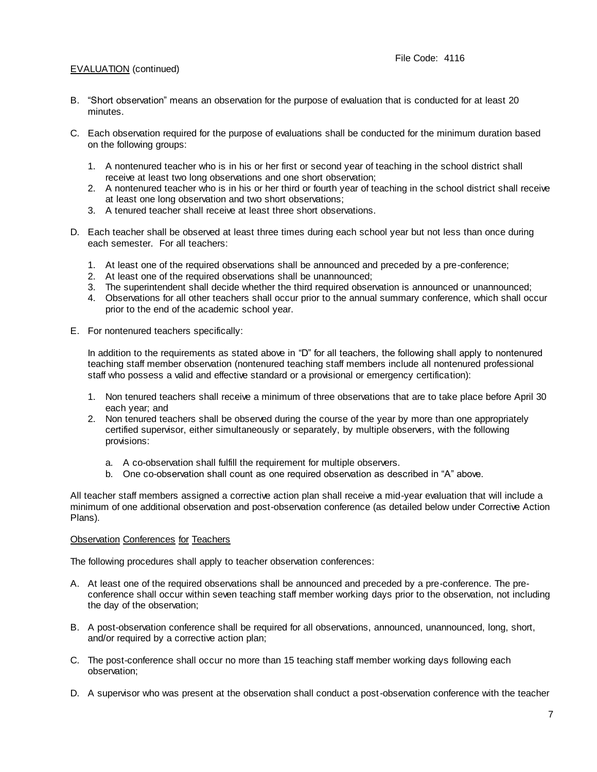- B. "Short observation" means an observation for the purpose of evaluation that is conducted for at least 20 minutes.
- C. Each observation required for the purpose of evaluations shall be conducted for the minimum duration based on the following groups:
	- 1. A nontenured teacher who is in his or her first or second year of teaching in the school district shall receive at least two long observations and one short observation;
	- 2. A nontenured teacher who is in his or her third or fourth year of teaching in the school district shall receive at least one long observation and two short observations;
	- 3. A tenured teacher shall receive at least three short observations.
- D. Each teacher shall be observed at least three times during each school year but not less than once during each semester. For all teachers:
	- 1. At least one of the required observations shall be announced and preceded by a pre-conference;
	- 2. At least one of the required observations shall be unannounced;
	- 3. The superintendent shall decide whether the third required observation is announced or unannounced;
	- 4. Observations for all other teachers shall occur prior to the annual summary conference, which shall occur prior to the end of the academic school year.
- E. For nontenured teachers specifically:

In addition to the requirements as stated above in "D" for all teachers, the following shall apply to nontenured teaching staff member observation (nontenured teaching staff members include all nontenured professional staff who possess a valid and effective standard or a provisional or emergency certification):

- 1. Non tenured teachers shall receive a minimum of three observations that are to take place before April 30 each year; and
- 2. Non tenured teachers shall be observed during the course of the year by more than one appropriately certified supervisor, either simultaneously or separately, by multiple observers, with the following provisions:
	- a. A co-observation shall fulfill the requirement for multiple observers.
	- b. One co-observation shall count as one required observation as described in "A" above.

All teacher staff members assigned a corrective action plan shall receive a mid-year evaluation that will include a minimum of one additional observation and post-observation conference (as detailed below under Corrective Action Plans).

### Observation Conferences for Teachers

The following procedures shall apply to teacher observation conferences:

- A. At least one of the required observations shall be announced and preceded by a pre-conference. The preconference shall occur within seven teaching staff member working days prior to the observation, not including the day of the observation;
- B. A post-observation conference shall be required for all observations, announced, unannounced, long, short, and/or required by a corrective action plan;
- C. The post-conference shall occur no more than 15 teaching staff member working days following each observation;
- D. A supervisor who was present at the observation shall conduct a post-observation conference with the teacher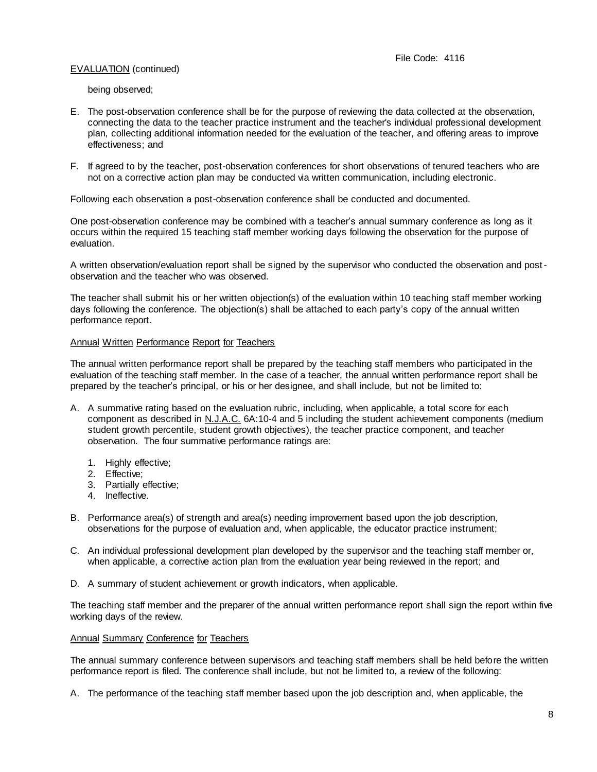being observed;

- E. The post-observation conference shall be for the purpose of reviewing the data collected at the observation, connecting the data to the teacher practice instrument and the teacher's individual professional development plan, collecting additional information needed for the evaluation of the teacher, and offering areas to improve effectiveness; and
- F. If agreed to by the teacher, post-observation conferences for short observations of tenured teachers who are not on a corrective action plan may be conducted via written communication, including electronic.

Following each observation a post-observation conference shall be conducted and documented.

One post-observation conference may be combined with a teacher's annual summary conference as long as it occurs within the required 15 teaching staff member working days following the observation for the purpose of evaluation.

A written observation/evaluation report shall be signed by the supervisor who conducted the observation and postobservation and the teacher who was observed.

The teacher shall submit his or her written objection(s) of the evaluation within 10 teaching staff member working days following the conference. The objection(s) shall be attached to each party's copy of the annual written performance report.

## Annual Written Performance Report for Teachers

The annual written performance report shall be prepared by the teaching staff members who participated in the evaluation of the teaching staff member. In the case of a teacher, the annual written performance report shall be prepared by the teacher's principal, or his or her designee, and shall include, but not be limited to:

- A. A summative rating based on the evaluation rubric, including, when applicable, a total score for each component as described in N.J.A.C. 6A:10-4 and 5 including the student achievement components (medium student growth percentile, student growth objectives), the teacher practice component, and teacher observation. The four summative performance ratings are:
	- 1. Highly effective;
	- 2. Effective;
	- 3. Partially effective;
	- 4. Ineffective.
- B. Performance area(s) of strength and area(s) needing improvement based upon the job description, observations for the purpose of evaluation and, when applicable, the educator practice instrument;
- C. An individual professional development plan developed by the supervisor and the teaching staff member or, when applicable, a corrective action plan from the evaluation year being reviewed in the report; and
- D. A summary of student achievement or growth indicators, when applicable.

The teaching staff member and the preparer of the annual written performance report shall sign the report within five working days of the review.

### Annual Summary Conference for Teachers

The annual summary conference between supervisors and teaching staff members shall be held before the written performance report is filed. The conference shall include, but not be limited to, a review of the following:

A. The performance of the teaching staff member based upon the job description and, when applicable, the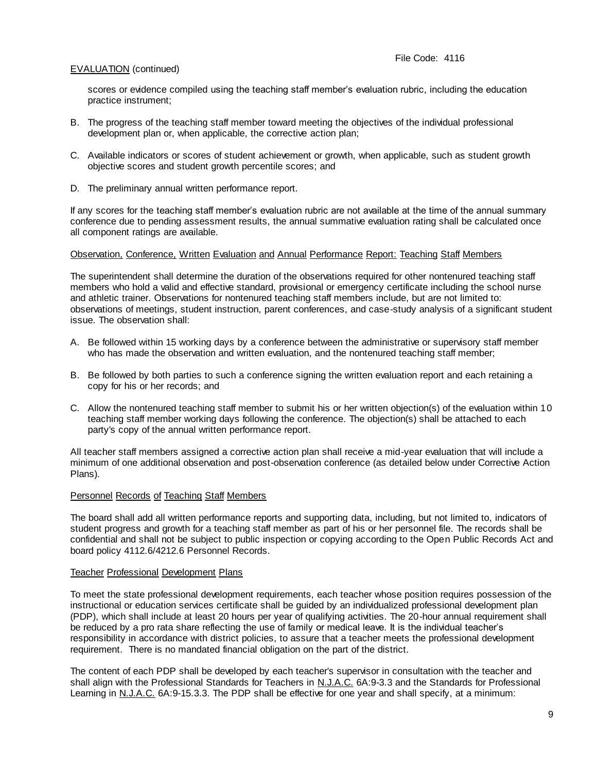scores or evidence compiled using the teaching staff member's evaluation rubric, including the education practice instrument;

- B. The progress of the teaching staff member toward meeting the objectives of the individual professional development plan or, when applicable, the corrective action plan;
- C. Available indicators or scores of student achievement or growth, when applicable, such as student growth objective scores and student growth percentile scores; and
- D. The preliminary annual written performance report.

If any scores for the teaching staff member's evaluation rubric are not available at the time of the annual summary conference due to pending assessment results, the annual summative evaluation rating shall be calculated once all component ratings are available.

## Observation, Conference, Written Evaluation and Annual Performance Report: Teaching Staff Members

The superintendent shall determine the duration of the observations required for other nontenured teaching staff members who hold a valid and effective standard, provisional or emergency certificate including the school nurse and athletic trainer. Observations for nontenured teaching staff members include, but are not limited to: observations of meetings, student instruction, parent conferences, and case-study analysis of a significant student issue. The observation shall:

- A. Be followed within 15 working days by a conference between the administrative or supervisory staff member who has made the observation and written evaluation, and the nontenured teaching staff member;
- B. Be followed by both parties to such a conference signing the written evaluation report and each retaining a copy for his or her records; and
- C. Allow the nontenured teaching staff member to submit his or her written objection(s) of the evaluation within 10 teaching staff member working days following the conference. The objection(s) shall be attached to each party's copy of the annual written performance report.

All teacher staff members assigned a corrective action plan shall receive a mid-year evaluation that will include a minimum of one additional observation and post-observation conference (as detailed below under Corrective Action Plans).

### Personnel Records of Teaching Staff Members

The board shall add all written performance reports and supporting data, including, but not limited to, indicators of student progress and growth for a teaching staff member as part of his or her personnel file. The records shall be confidential and shall not be subject to public inspection or copying according to the Open Public Records Act and board policy 4112.6/4212.6 Personnel Records.

### Teacher Professional Development Plans

To meet the state professional development requirements, each teacher whose position requires possession of the instructional or education services certificate shall be guided by an individualized professional development plan (PDP), which shall include at least 20 hours per year of qualifying activities. The 20-hour annual requirement shall be reduced by a pro rata share reflecting the use of family or medical leave. It is the individual teacher's responsibility in accordance with district policies, to assure that a teacher meets the professional development requirement. There is no mandated financial obligation on the part of the district.

The content of each PDP shall be developed by each teacher's supervisor in consultation with the teacher and shall align with the Professional Standards for Teachers in N.J.A.C. 6A:9-3.3 and the Standards for Professional Learning in N.J.A.C. 6A:9-15.3.3. The PDP shall be effective for one year and shall specify, at a minimum: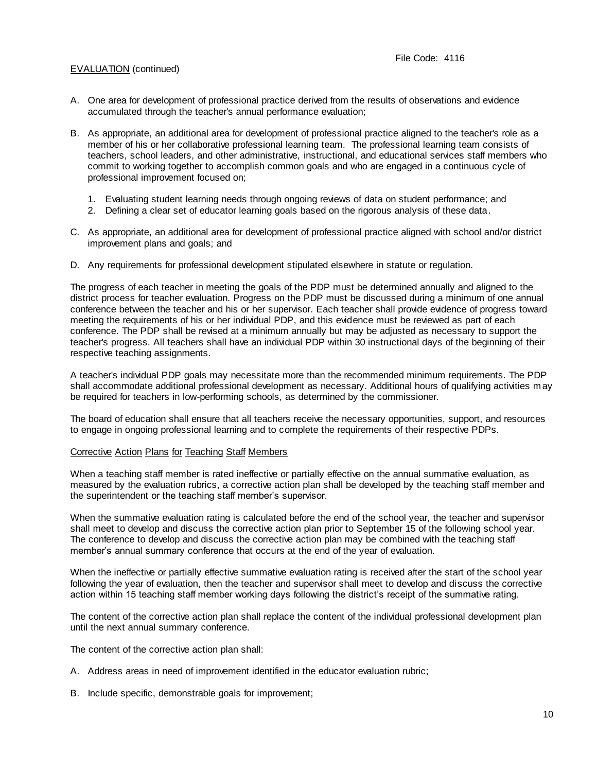- A. One area for development of professional practice derived from the results of observations and evidence accumulated through the teacher's annual performance evaluation;
- B. As appropriate, an additional area for development of professional practice aligned to the teacher's role as a member of his or her collaborative professional learning team. The professional learning team consists of teachers, school leaders, and other administrative, instructional, and educational services staff members who commit to working together to accomplish common goals and who are engaged in a continuous cycle of professional improvement focused on;
	- 1. Evaluating student learning needs through ongoing reviews of data on student performance; and
	- 2. Defining a clear set of educator learning goals based on the rigorous analysis of these data.
- C. As appropriate, an additional area for development of professional practice aligned with school and/or district improvement plans and goals; and
- D. Any requirements for professional development stipulated elsewhere in statute or regulation.

The progress of each teacher in meeting the goals of the PDP must be determined annually and aligned to the district process for teacher evaluation. Progress on the PDP must be discussed during a minimum of one annual conference between the teacher and his or her supervisor. Each teacher shall provide evidence of progress toward meeting the requirements of his or her individual PDP, and this evidence must be reviewed as part of each conference. The PDP shall be revised at a minimum annually but may be adjusted as necessary to support the teacher's progress. All teachers shall have an individual PDP within 30 instructional days of the beginning of their respective teaching assignments.

A teacher's individual PDP goals may necessitate more than the recommended minimum requirements. The PDP shall accommodate additional professional development as necessary. Additional hours of qualifying activities m ay be required for teachers in low-performing schools, as determined by the commissioner.

The board of education shall ensure that all teachers receive the necessary opportunities, support, and resources to engage in ongoing professional learning and to complete the requirements of their respective PDPs.

### Corrective Action Plans for Teaching Staff Members

When a teaching staff member is rated ineffective or partially effective on the annual summative evaluation, as measured by the evaluation rubrics, a corrective action plan shall be developed by the teaching staff member and the superintendent or the teaching staff member's supervisor.

When the summative evaluation rating is calculated before the end of the school year, the teacher and supervisor shall meet to develop and discuss the corrective action plan prior to September 15 of the following school year. The conference to develop and discuss the corrective action plan may be combined with the teaching staff member's annual summary conference that occurs at the end of the year of evaluation.

When the ineffective or partially effective summative evaluation rating is received after the start of the school year following the year of evaluation, then the teacher and supervisor shall meet to develop and discuss the corrective action within 15 teaching staff member working days following the district's receipt of the summative rating.

The content of the corrective action plan shall replace the content of the individual professional development plan until the next annual summary conference.

The content of the corrective action plan shall:

- A. Address areas in need of improvement identified in the educator evaluation rubric;
- B. Include specific, demonstrable goals for improvement;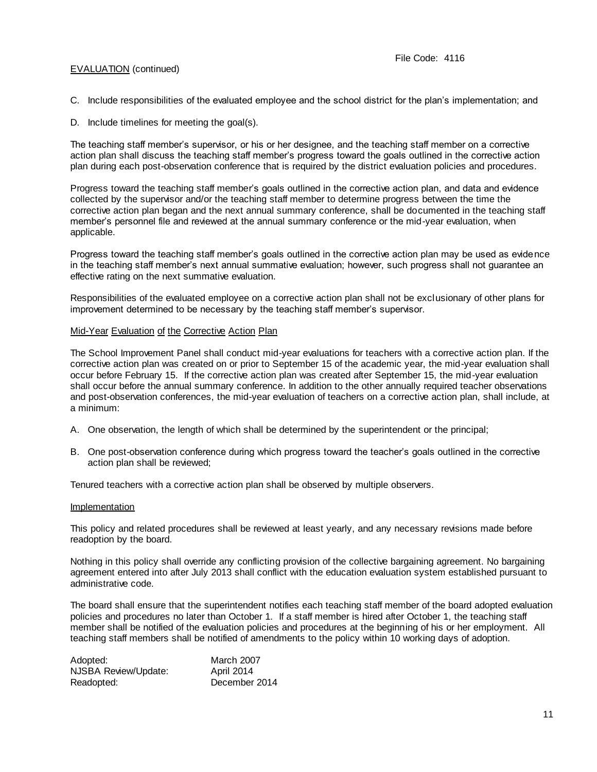- C. Include responsibilities of the evaluated employee and the school district for the plan's implementation; and
- D. Include timelines for meeting the goal(s).

The teaching staff member's supervisor, or his or her designee, and the teaching staff member on a corrective action plan shall discuss the teaching staff member's progress toward the goals outlined in the corrective action plan during each post-observation conference that is required by the district evaluation policies and procedures.

Progress toward the teaching staff member's goals outlined in the corrective action plan, and data and evidence collected by the supervisor and/or the teaching staff member to determine progress between the time the corrective action plan began and the next annual summary conference, shall be documented in the teaching staff member's personnel file and reviewed at the annual summary conference or the mid-year evaluation, when applicable.

Progress toward the teaching staff member's goals outlined in the corrective action plan may be used as evidence in the teaching staff member's next annual summative evaluation; however, such progress shall not guarantee an effective rating on the next summative evaluation.

Responsibilities of the evaluated employee on a corrective action plan shall not be exclusionary of other plans for improvement determined to be necessary by the teaching staff member's supervisor.

#### Mid-Year Evaluation of the Corrective Action Plan

The School Improvement Panel shall conduct mid-year evaluations for teachers with a corrective action plan. If the corrective action plan was created on or prior to September 15 of the academic year, the mid-year evaluation shall occur before February 15. If the corrective action plan was created after September 15, the mid-year evaluation shall occur before the annual summary conference. In addition to the other annually required teacher observations and post-observation conferences, the mid-year evaluation of teachers on a corrective action plan, shall include, at a minimum:

- A. One observation, the length of which shall be determined by the superintendent or the principal;
- B. One post-observation conference during which progress toward the teacher's goals outlined in the corrective action plan shall be reviewed;

Tenured teachers with a corrective action plan shall be observed by multiple observers.

#### **Implementation**

This policy and related procedures shall be reviewed at least yearly, and any necessary revisions made before readoption by the board.

Nothing in this policy shall override any conflicting provision of the collective bargaining agreement. No bargaining agreement entered into after July 2013 shall conflict with the education evaluation system established pursuant to administrative code.

The board shall ensure that the superintendent notifies each teaching staff member of the board adopted evaluation policies and procedures no later than October 1. If a staff member is hired after October 1, the teaching staff member shall be notified of the evaluation policies and procedures at the beginning of his or her employment. All teaching staff members shall be notified of amendments to the policy within 10 working days of adoption.

| Adopted:             | <b>March 2007</b> |
|----------------------|-------------------|
| NJSBA Review/Update: | April 2014        |
| Readopted:           | December 2014     |